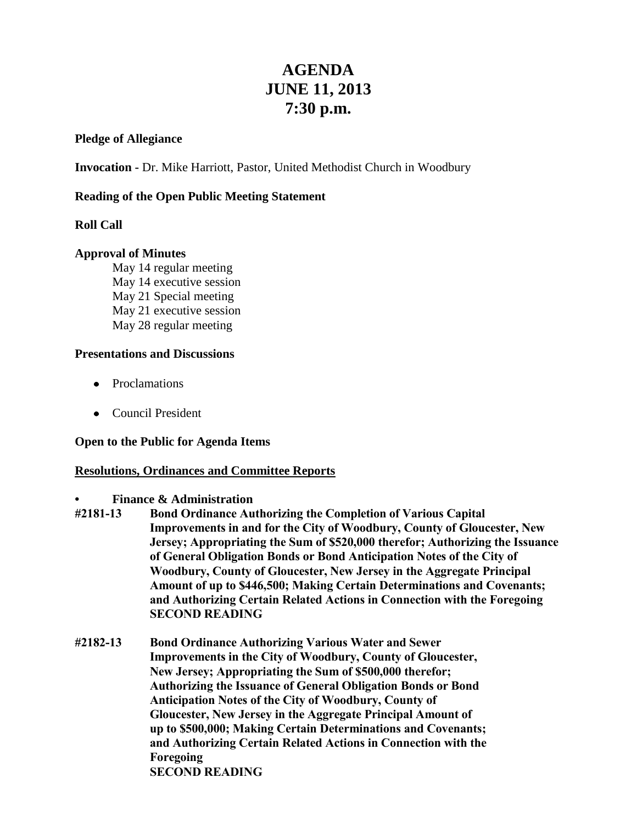# **AGENDA JUNE 11, 2013 7:30 p.m.**

## **Pledge of Allegiance**

**Invocation -** Dr. Mike Harriott, Pastor, United Methodist Church in Woodbury

## **Reading of the Open Public Meeting Statement**

## **Roll Call**

## **Approval of Minutes**

May 14 regular meeting May 14 executive session May 21 Special meeting May 21 executive session May 28 regular meeting

#### **Presentations and Discussions**

- Proclamations
- Council President

#### **Open to the Public for Agenda Items**

#### **Resolutions, Ordinances and Committee Reports**

#### **• Finance & Administration**

- **#2181-13 Bond Ordinance Authorizing the Completion of Various Capital Improvements in and for the City of Woodbury, County of Gloucester, New Jersey; Appropriating the Sum of \$520,000 therefor; Authorizing the Issuance of General Obligation Bonds or Bond Anticipation Notes of the City of Woodbury, County of Gloucester, New Jersey in the Aggregate Principal Amount of up to \$446,500; Making Certain Determinations and Covenants; and Authorizing Certain Related Actions in Connection with the Foregoing SECOND READING**
- **#2182-13 Bond Ordinance Authorizing Various Water and Sewer Improvements in the City of Woodbury, County of Gloucester, New Jersey; Appropriating the Sum of \$500,000 therefor; Authorizing the Issuance of General Obligation Bonds or Bond Anticipation Notes of the City of Woodbury, County of Gloucester, New Jersey in the Aggregate Principal Amount of up to \$500,000; Making Certain Determinations and Covenants; and Authorizing Certain Related Actions in Connection with the Foregoing SECOND READING**